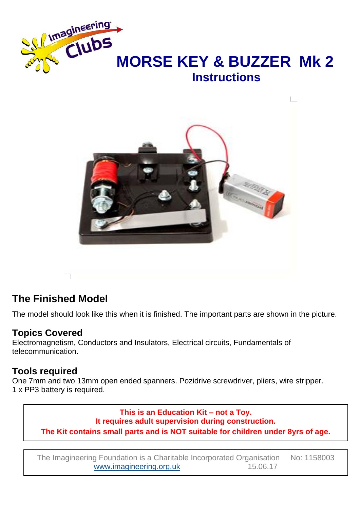



# **The Finished Model**

The model should look like this when it is finished. The important parts are shown in the picture.

# **Topics Covered**

Electromagnetism, Conductors and Insulators, Electrical circuits, Fundamentals of telecommunication.

# **Tools required**

One 7mm and two 13mm open ended spanners. Pozidrive screwdriver, pliers, wire stripper. 1 x PP3 battery is required.

**This is an Education Kit – not a Toy. It requires adult supervision during construction. The Kit contains small parts and is NOT suitable for children under 8yrs of age.**

The Imagineering Foundation is a Charitable Incorporated Organisation No: 1158003 www.imagineering.org.uk 15.06.17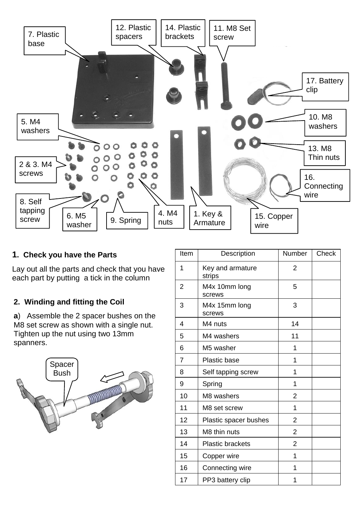

### **1. Check you have the Parts**

Lay out all the parts and check that you have each part by putting a tick in the column

# **2. Winding and fitting the Coil**

**a**) Assemble the 2 spacer bushes on the M8 set screw as shown with a single nut. Tighten up the nut using two 13mm spanners.



| Item | Description                | Number         | Check |
|------|----------------------------|----------------|-------|
| 1    | Key and armature<br>strips | 2              |       |
| 2    | M4x 10mm long<br>screws    | 5              |       |
| 3    | M4x 15mm long<br>screws    | 3              |       |
| 4    | M4 nuts                    | 14             |       |
| 5    | M4 washers                 | 11             |       |
| 6    | M5 washer                  | 1              |       |
| 7    | Plastic base               | 1              |       |
| 8    | Self tapping screw         | 1              |       |
| 9    | Spring                     | 1              |       |
| 10   | M8 washers                 | 2              |       |
| 11   | M8 set screw               | 1              |       |
| 12   | Plastic spacer bushes      | $\overline{2}$ |       |
| 13   | M8 thin nuts               | 2              |       |
| 14   | <b>Plastic brackets</b>    | $\overline{2}$ |       |
| 15   | Copper wire                | 1              |       |
| 16   | Connecting wire            | 1              |       |
| 17   | PP3 battery clip           | 1              |       |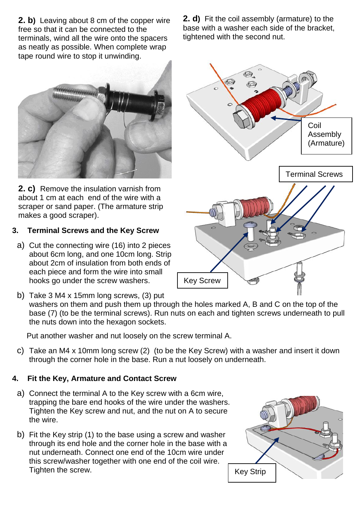**2. b)** Leaving about 8 cm of the copper wire free so that it can be connected to the terminals, wind all the wire onto the spacers as neatly as possible. When complete wrap tape round wire to stop it unwinding.



**2. c)** Remove the insulation varnish from about 1 cm at each end of the wire with a scraper or sand paper. (The armature strip makes a good scraper).

#### **3. Terminal Screws and the Key Screw**

- a) Cut the connecting wire (16) into 2 pieces about 6cm long, and one 10cm long. Strip about 2cm of insulation from both ends of each piece and form the wire into small hooks go under the screw washers.
- b) Take 3 M4 x 15mm long screws, (3) put

washers on them and push them up through the holes marked A, B and C on the top of the base (7) (to be the terminal screws). Run nuts on each and tighten screws underneath to pull the nuts down into the hexagon sockets.

Put another washer and nut loosely on the screw terminal A.

c) Take an M4 x 10mm long screw (2) (to be the Key Screw) with a washer and insert it down through the corner hole in the base. Run a nut loosely on underneath.

# **4. Fit the Key, Armature and Contact Screw**

- a) Connect the terminal A to the Key screw with a 6cm wire, trapping the bare end hooks of the wire under the washers. Tighten the Key screw and nut, and the nut on A to secure the wire.
- b) Fit the Key strip (1) to the base using a screw and washer through its end hole and the corner hole in the base with a nut underneath. Connect one end of the 10cm wire under this screw/washer together with one end of the coil wire. Tighten the screw.

**2. d)** Fit the coil assembly (armature) to the base with a washer each side of the bracket, tightened with the second nut.